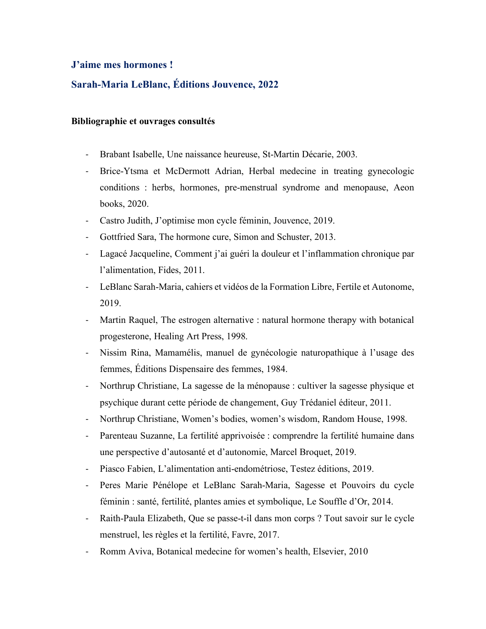## **J'aime mes hormones !**

## **Sarah-Maria LeBlanc, Éditions Jouvence, 2022**

## **Bibliographie et ouvrages consultés**

- Brabant Isabelle, Une naissance heureuse, St-Martin Décarie, 2003.
- Brice-Ytsma et McDermott Adrian, Herbal medecine in treating gynecologic conditions : herbs, hormones, pre-menstrual syndrome and menopause, Aeon books, 2020.
- Castro Judith, J'optimise mon cycle féminin, Jouvence, 2019.
- Gottfried Sara, The hormone cure, Simon and Schuster, 2013.
- Lagacé Jacqueline, Comment j'ai guéri la douleur et l'inflammation chronique par l'alimentation, Fides, 2011.
- LeBlanc Sarah-Maria, cahiers et vidéos de la Formation Libre, Fertile et Autonome, 2019.
- Martin Raquel, The estrogen alternative : natural hormone therapy with botanical progesterone, Healing Art Press, 1998.
- Nissim Rina, Mamamélis, manuel de gynécologie naturopathique à l'usage des femmes, Éditions Dispensaire des femmes, 1984.
- Northrup Christiane, La sagesse de la ménopause : cultiver la sagesse physique et psychique durant cette période de changement, Guy Trédaniel éditeur, 2011.
- Northrup Christiane, Women's bodies, women's wisdom, Random House, 1998.
- Parenteau Suzanne, La fertilité apprivoisée : comprendre la fertilité humaine dans une perspective d'autosanté et d'autonomie, Marcel Broquet, 2019.
- Piasco Fabien, L'alimentation anti-endométriose, Testez éditions, 2019.
- Peres Marie Pénélope et LeBlanc Sarah-Maria, Sagesse et Pouvoirs du cycle féminin : santé, fertilité, plantes amies et symbolique, Le Souffle d'Or, 2014.
- Raith-Paula Elizabeth, Que se passe-t-il dans mon corps ? Tout savoir sur le cycle menstruel, les règles et la fertilité, Favre, 2017.
- Romm Aviva, Botanical medecine for women's health, Elsevier, 2010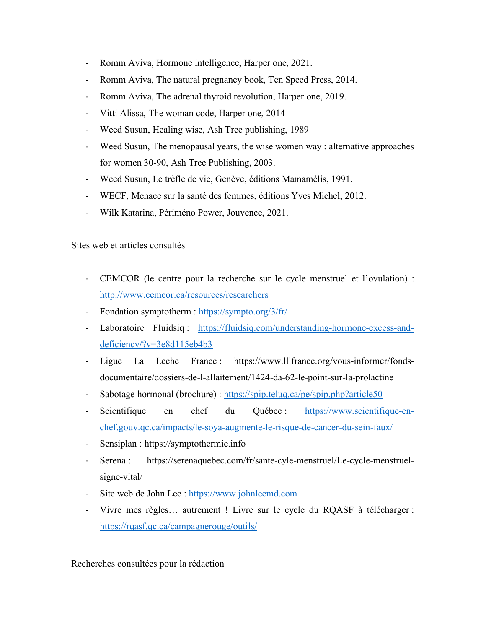- Romm Aviva, Hormone intelligence, Harper one, 2021.
- Romm Aviva, The natural pregnancy book, Ten Speed Press, 2014.
- Romm Aviva, The adrenal thyroid revolution, Harper one, 2019.
- Vitti Alissa, The woman code, Harper one, 2014
- Weed Susun, Healing wise, Ash Tree publishing, 1989
- Weed Susun, The menopausal years, the wise women way : alternative approaches for women 30-90, Ash Tree Publishing, 2003.
- Weed Susun, Le trèfle de vie, Genève, éditions Mamamélis, 1991.
- WECF, Menace sur la santé des femmes, éditions Yves Michel, 2012.
- Wilk Katarina, Périméno Power, Jouvence, 2021.

Sites web et articles consultés

- CEMCOR (le centre pour la recherche sur le cycle menstruel et l'ovulation) : http://www.cemcor.ca/resources/researchers
- Fondation symptotherm : https://sympto.org/3/fr/
- Laboratoire Fluidsiq : https://fluidsiq.com/understanding-hormone-excess-anddeficiency/?v=3e8d115eb4b3
- Ligue La Leche France : https://www.lllfrance.org/vous-informer/fondsdocumentaire/dossiers-de-l-allaitement/1424-da-62-le-point-sur-la-prolactine
- Sabotage hormonal (brochure) : https://spip.teluq.ca/pe/spip.php?article50
- Scientifique en chef du Québec : https://www.scientifique-enchef.gouv.qc.ca/impacts/le-soya-augmente-le-risque-de-cancer-du-sein-faux/
- Sensiplan : https://symptothermie.info
- Serena : https://serenaquebec.com/fr/sante-cyle-menstruel/Le-cycle-menstruelsigne-vital/
- Site web de John Lee : https://www.johnleemd.com
- Vivre mes règles... autrement ! Livre sur le cycle du RQASF à télécharger : https://rqasf.qc.ca/campagnerouge/outils/

Recherches consultées pour la rédaction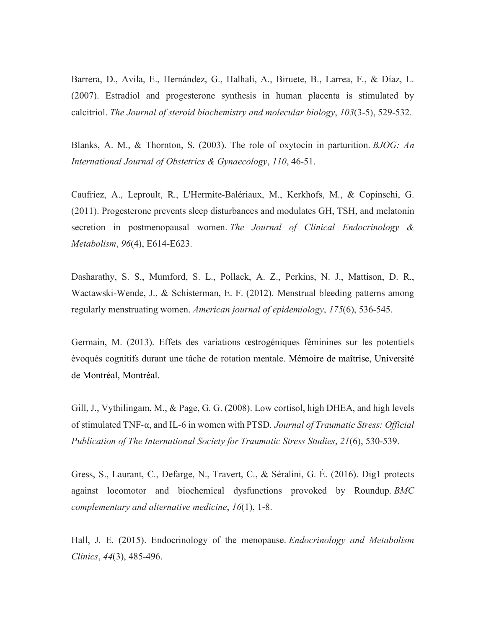Barrera, D., Avila, E., Hernández, G., Halhali, A., Biruete, B., Larrea, F., & Díaz, L. (2007). Estradiol and progesterone synthesis in human placenta is stimulated by calcitriol. *The Journal of steroid biochemistry and molecular biology*, *103*(3-5), 529-532.

Blanks, A. M., & Thornton, S. (2003). The role of oxytocin in parturition. *BJOG: An International Journal of Obstetrics & Gynaecology*, *110*, 46-51.

Caufriez, A., Leproult, R., L'Hermite-Balériaux, M., Kerkhofs, M., & Copinschi, G. (2011). Progesterone prevents sleep disturbances and modulates GH, TSH, and melatonin secretion in postmenopausal women. *The Journal of Clinical Endocrinology & Metabolism*, *96*(4), E614-E623.

Dasharathy, S. S., Mumford, S. L., Pollack, A. Z., Perkins, N. J., Mattison, D. R., Wactawski-Wende, J., & Schisterman, E. F. (2012). Menstrual bleeding patterns among regularly menstruating women. *American journal of epidemiology*, *175*(6), 536-545.

Germain, M. (2013). Effets des variations œstrogéniques féminines sur les potentiels évoqués cognitifs durant une tâche de rotation mentale. Mémoire de maîtrise, Université de Montréal, Montréal.

Gill, J., Vythilingam, M., & Page, G. G. (2008). Low cortisol, high DHEA, and high levels of stimulated TNF-α, and IL-6 in women with PTSD. *Journal of Traumatic Stress: Official Publication of The International Society for Traumatic Stress Studies*, *21*(6), 530-539.

Gress, S., Laurant, C., Defarge, N., Travert, C., & Séralini, G. É. (2016). Dig1 protects against locomotor and biochemical dysfunctions provoked by Roundup. *BMC complementary and alternative medicine*, *16*(1), 1-8.

Hall, J. E. (2015). Endocrinology of the menopause. *Endocrinology and Metabolism Clinics*, *44*(3), 485-496.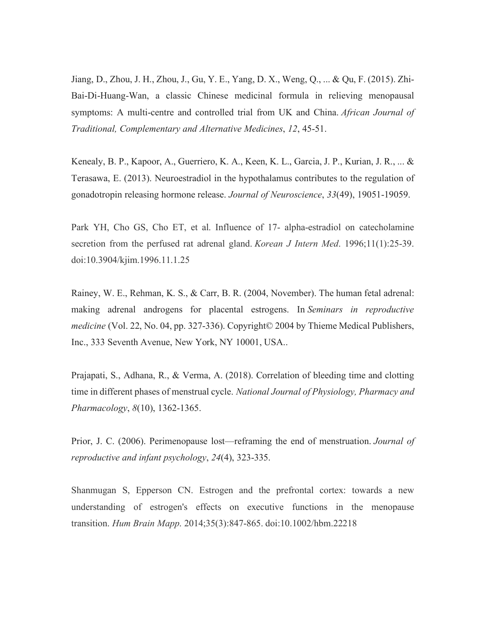Jiang, D., Zhou, J. H., Zhou, J., Gu, Y. E., Yang, D. X., Weng, Q., ... & Qu, F. (2015). Zhi-Bai-Di-Huang-Wan, a classic Chinese medicinal formula in relieving menopausal symptoms: A multi-centre and controlled trial from UK and China. *African Journal of Traditional, Complementary and Alternative Medicines*, *12*, 45-51.

Kenealy, B. P., Kapoor, A., Guerriero, K. A., Keen, K. L., Garcia, J. P., Kurian, J. R., ... & Terasawa, E. (2013). Neuroestradiol in the hypothalamus contributes to the regulation of gonadotropin releasing hormone release. *Journal of Neuroscience*, *33*(49), 19051-19059.

Park YH, Cho GS, Cho ET, et al. Influence of 17- alpha-estradiol on catecholamine secretion from the perfused rat adrenal gland. *Korean J Intern Med*. 1996;11(1):25-39. doi:10.3904/kjim.1996.11.1.25

Rainey, W. E., Rehman, K. S., & Carr, B. R. (2004, November). The human fetal adrenal: making adrenal androgens for placental estrogens. In *Seminars in reproductive medicine* (Vol. 22, No. 04, pp. 327-336). Copyright© 2004 by Thieme Medical Publishers, Inc., 333 Seventh Avenue, New York, NY 10001, USA..

Prajapati, S., Adhana, R., & Verma, A. (2018). Correlation of bleeding time and clotting time in different phases of menstrual cycle. *National Journal of Physiology, Pharmacy and Pharmacology*, *8*(10), 1362-1365.

Prior, J. C. (2006). Perimenopause lost—reframing the end of menstruation. *Journal of reproductive and infant psychology*, *24*(4), 323-335.

Shanmugan S, Epperson CN. Estrogen and the prefrontal cortex: towards a new understanding of estrogen's effects on executive functions in the menopause transition. *Hum Brain Mapp*. 2014;35(3):847-865. doi:10.1002/hbm.22218